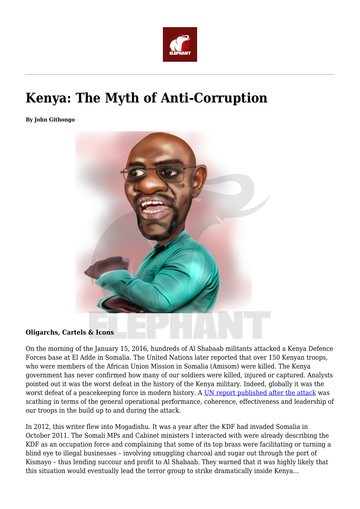

# **Kenya: The Myth of Anti-Corruption**

**By John Githongo**



#### **Oligarchs, Cartels & Icons**

On the morning of the January 15, 2016, hundreds of Al Shabaab militants attacked a Kenya Defence Forces base at El Adde in Somalia. The United Nations later reported that over 150 Kenyan troops, who were members of the African Union Mission in Somalia (Amisom) were killed. The Kenya government has never confirmed how many of our soldiers were killed, injured or captured. Analysts pointed out it was the worst defeat in the history of the Kenya military. Indeed, globally it was the worst defeat of a peacekeeping force in modern history. A [UN report published after the attack](http://reliefweb.int/report/eritrea/report-monitoring-group-somalia-and-eritrea-pursuant-security-council-resolution-2244) was scathing in terms of the general operational performance, coherence, effectiveness and leadership of our troops in the build up to and during the attack.

In 2012, this writer flew into Mogadishu. It was a year after the KDF had invaded Somalia in October 2011. The Somali MPs and Cabinet ministers I interacted with were already describing the KDF as an occupation force and complaining that some of its top brass were facilitating or turning a blind eye to illegal businesses – involving smuggling charcoal and sugar out through the port of Kismayo – thus lending succour and profit to Al Shabaab. They warned that it was highly likely that this situation would eventually lead the terror group to strike dramatically inside Kenya…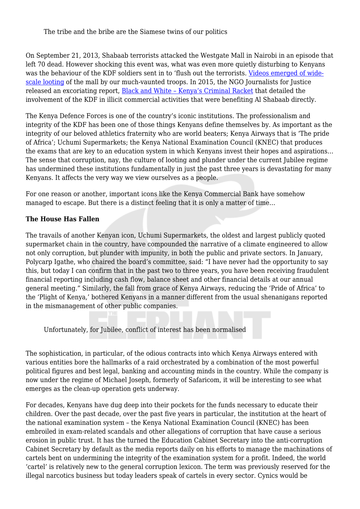The tribe and the bribe are the Siamese twins of our politics

On September 21, 2013, Shabaab terrorists attacked the Westgate Mall in Nairobi in an episode that left 70 dead. However shocking this event was, what was even more quietly disturbing to Kenyans was the behaviour of the KDF soldiers sent in to 'flush out the terrorists. [Videos emerged of wide](https://www.youtube.com/watch?v=CLXDdvAq8Vo)[scale looting](https://www.youtube.com/watch?v=CLXDdvAq8Vo) of the mall by our much-vaunted troops. In 2015, the NGO Journalists for Justice released an excoriating report, [Black and White – Kenya's Criminal Racket](https://www.theelephant.info/uploads/2017/03/Black-and-white-Kenyas-criminal-racket-in-Somalia.pdf) that detailed the involvement of the KDF in illicit commercial activities that were benefiting Al Shabaab directly.

The Kenya Defence Forces is one of the country's iconic institutions. The professionalism and integrity of the KDF has been one of those things Kenyans define themselves by. As important as the integrity of our beloved athletics fraternity who are world beaters; Kenya Airways that is 'The pride of Africa'; Uchumi Supermarkets; the Kenya National Examination Council (KNEC) that produces the exams that are key to an education system in which Kenyans invest their hopes and aspirations… The sense that corruption, nay, the culture of looting and plunder under the current Jubilee regime has undermined these institutions fundamentally in just the past three years is devastating for many Kenyans. It affects the very way we view ourselves as a people.

For one reason or another, important icons like the Kenya Commercial Bank have somehow managed to escape. But there is a distinct feeling that it is only a matter of time…

### **The House Has Fallen**

The travails of another Kenyan icon, Uchumi Supermarkets, the oldest and largest publicly quoted supermarket chain in the country, have compounded the narrative of a climate engineered to allow not only corruption, but plunder with impunity, in both the public and private sectors. In January, Polycarp Igathe, who chaired the board's committee, said: "I have never had the opportunity to say this, but today I can confirm that in the past two to three years, you have been receiving fraudulent financial reporting including cash flow, balance sheet and other financial details at our annual general meeting." Similarly, the fall from grace of Kenya Airways, reducing the 'Pride of Africa' to the 'Plight of Kenya,' bothered Kenyans in a manner different from the usual shenanigans reported in the mismanagement of other public companies.

Unfortunately, for Jubilee, conflict of interest has been normalised

The sophistication, in particular, of the odious contracts into which Kenya Airways entered with various entities bore the hallmarks of a raid orchestrated by a combination of the most powerful political figures and best legal, banking and accounting minds in the country. While the company is now under the regime of Michael Joseph, formerly of Safaricom, it will be interesting to see what emerges as the clean-up operation gets underway.

For decades, Kenyans have dug deep into their pockets for the funds necessary to educate their children. Over the past decade, over the past five years in particular, the institution at the heart of the national examination system – the Kenya National Examination Council (KNEC) has been embroiled in exam-related scandals and other allegations of corruption that have cause a serious erosion in public trust. It has the turned the Education Cabinet Secretary into the anti-corruption Cabinet Secretary by default as the media reports daily on his efforts to manage the machinations of cartels bent on undermining the integrity of the examination system for a profit. Indeed, the world 'cartel' is relatively new to the general corruption lexicon. The term was previously reserved for the illegal narcotics business but today leaders speak of cartels in every sector. Cynics would be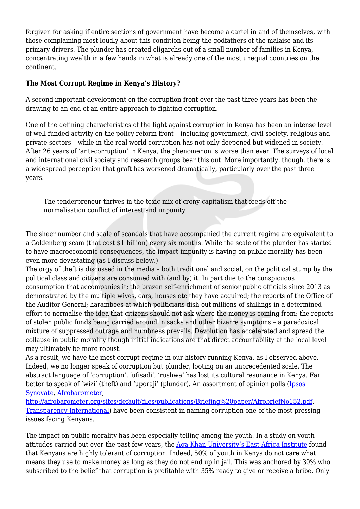forgiven for asking if entire sections of government have become a cartel in and of themselves, with those complaining most loudly about this condition being the godfathers of the malaise and its primary drivers. The plunder has created oligarchs out of a small number of families in Kenya, concentrating wealth in a few hands in what is already one of the most unequal countries on the continent.

## **The Most Corrupt Regime in Kenya's History?**

A second important development on the corruption front over the past three years has been the drawing to an end of an entire approach to fighting corruption.

One of the defining characteristics of the fight against corruption in Kenya has been an intense level of well-funded activity on the policy reform front – including government, civil society, religious and private sectors – while in the real world corruption has not only deepened but widened in society. After 26 years of 'anti-corruption' in Kenya, the phenomenon is worse than ever. The surveys of local and international civil society and research groups bear this out. More importantly, though, there is a widespread perception that graft has worsened dramatically, particularly over the past three years.

The tenderpreneur thrives in the toxic mix of crony capitalism that feeds off the normalisation conflict of interest and impunity

The sheer number and scale of scandals that have accompanied the current regime are equivalent to a Goldenberg scam (that cost \$1 billion) every six months. While the scale of the plunder has started to have macroeconomic consequences, the impact impunity is having on public morality has been even more devastating (as I discuss below.)

The orgy of theft is discussed in the media – both traditional and social, on the political stump by the political class and citizens are consumed with (and by) it. In part due to the conspicuous consumption that accompanies it; the brazen self-enrichment of senior public officials since 2013 as demonstrated by the multiple wives, cars, houses etc they have acquired; the reports of the Office of the Auditor General; harambees at which politicians dish out millions of shillings in a determined effort to normalise the idea that citizens should not ask where the money is coming from; the reports of stolen public funds being carried around in sacks and other bizarre symptoms – a paradoxical mixture of suppressed outrage and numbness prevails. Devolution has accelerated and spread the collapse in public morality though initial indications are that direct accountability at the local level may ultimately be more robust.

As a result, we have the most corrupt regime in our history running Kenya, as I observed above. Indeed, we no longer speak of corruption but plunder, looting on an unprecedented scale. The abstract language of 'corruption', 'ufisadi', 'rushwa' has lost its cultural resonance in Kenya. Far better to speak of 'wizi' (theft) and 'uporaji' (plunder). An assortment of opinion polls ([Ipsos](http://www.ipsos.co.ke/home/reports/?page=polls&option=1) [Synovate,](http://www.ipsos.co.ke/home/reports/?page=polls&option=1) [Afrobarometer](http://afrobarometer.org/press/kenyans-decry-incessant-corruption-reluctant-report-incidents),

[http://afrobarometer.org/sites/default/files/publications/Briefing%20paper/AfrobriefNo152.pdf,](http://afrobarometer.org/sites/default/files/publications/Briefing%20paper/AfrobriefNo152.pdf) [Transparency International](http://www.transparency.org/whatwedo/publication/people_and_corruption_africa_survey_2015)) have been consistent in naming corruption one of the most pressing issues facing Kenyans.

The impact on public morality has been especially telling among the youth. In a study on youth attitudes carried out over the past few years, the [Aga Khan University's East Africa Institute](https://www.aku.edu/eai/Documents/kenya-youth-survey-report-executive-summary-2016.pdf#search=Search%2E%2E%2Eyouth%20study%20on%20corruption) found that Kenyans are highly tolerant of corruption. Indeed, 50% of youth in Kenya do not care what means they use to make money as long as they do not end up in jail. This was anchored by 30% who subscribed to the belief that corruption is profitable with 35% ready to give or receive a bribe. Only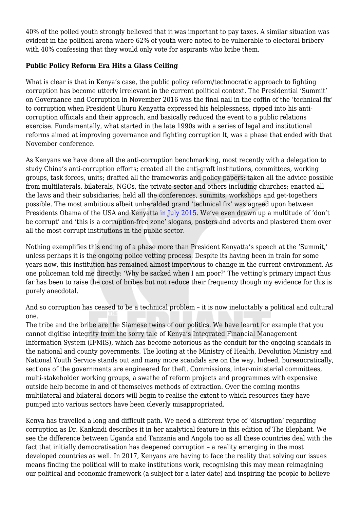40% of the polled youth strongly believed that it was important to pay taxes. A similar situation was evident in the political arena where 62% of youth were noted to be vulnerable to electoral bribery with 40% confessing that they would only vote for aspirants who bribe them.

## **Public Policy Reform Era Hits a Glass Ceiling**

What is clear is that in Kenya's case, the public policy reform/technocratic approach to fighting corruption has become utterly irrelevant in the current political context. The Presidential 'Summit' on Governance and Corruption in November 2016 was the final nail in the coffin of the 'technical fix' to corruption when President Uhuru Kenyatta expressed his helplessness, ripped into his anticorruption officials and their approach, and basically reduced the event to a public relations exercise. Fundamentally, what started in the late 1990s with a series of legal and institutional reforms aimed at improving governance and fighting corruption lt, was a phase that ended with that November conference.

As Kenyans we have done all the anti-corruption benchmarking, most recently with a delegation to study China's anti-corruption efforts; created all the anti-graft institutions, committees, working groups, task forces, units; drafted all the frameworks and policy papers; taken all the advice possible from multilaterals, bilaterals, NGOs, the private sector and others including churches; enacted all the laws and their subsidiaries; held all the conferences, summits, workshops and get-togethers possible. The most ambitious albeit unheralded grand 'technical fix' was agreed upon between Presidents Obama of the USA and Kenyatta [in July 2015](https://www.whitehouse.gov/the-press-office/2015/07/25/government-republic-kenya-government-united-states-america-joint). We've even drawn up a multitude of 'don't be corrupt' and 'this is a corruption-free zone' slogans, posters and adverts and plastered them over all the most corrupt institutions in the public sector.

Nothing exemplifies this ending of a phase more than President Kenyatta's speech at the 'Summit,' unless perhaps it is the ongoing police vetting process. Despite its having been in train for some years now, this institution has remained almost impervious to change in the current environment. As one policeman told me directly: 'Why be sacked when I am poor?' The vetting's primary impact thus far has been to raise the cost of bribes but not reduce their frequency though my evidence for this is purely anecdotal.

And so corruption has ceased to be a technical problem – it is now ineluctably a political and cultural one.

The tribe and the bribe are the Siamese twins of our politics. We have learnt for example that you cannot digitise integrity from the sorry tale of Kenya's Integrated Financial Management Information System (IFMIS), which has become notorious as the conduit for the ongoing scandals in the national and county governments. The looting at the Ministry of Health, Devolution Ministry and National Youth Service stands out and many more scandals are on the way. Indeed, bureaucratically, sections of the governments are engineered for theft. Commissions, inter-ministerial committees, multi-stakeholder working groups, a swathe of reform projects and programmes with expensive outside help become in and of themselves methods of extraction. Over the coming months multilateral and bilateral donors will begin to realise the extent to which resources they have pumped into various sectors have been cleverly misappropriated.

Kenya has travelled a long and difficult path. We need a different type of 'disruption' regarding corruption as Dr. Kankindi describes it in her analytical feature in this edition of The Elephant. We see the difference between Uganda and Tanzania and Angola too as all these countries deal with the fact that initially democratisation has deepened corruption – a reality emerging in the most developed countries as well. In 2017, Kenyans are having to face the reality that solving our issues means finding the political will to make institutions work, recognising this may mean reimagining our political and economic framework (a subject for a later date) and inspiring the people to believe